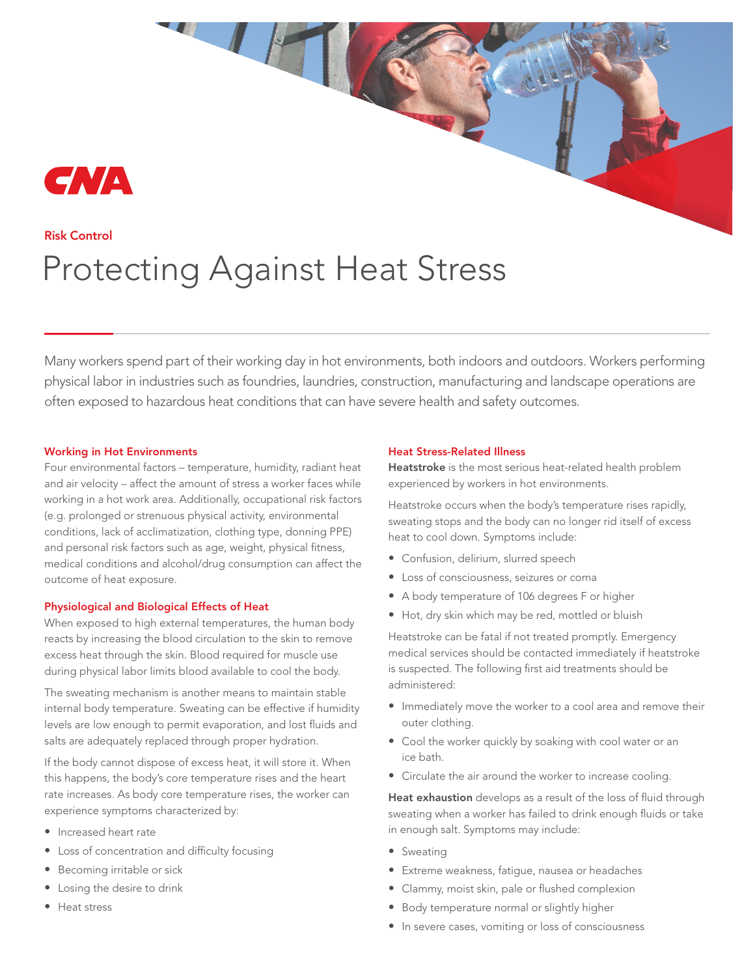# GNA

## Risk Control Protecting Against Heat Stress

Many workers spend part of their working day in hot environments, both indoors and outdoors. Workers performing physical labor in industries such as foundries, laundries, construction, manufacturing and landscape operations are often exposed to hazardous heat conditions that can have severe health and safety outcomes.

#### Working in Hot Environments

Four environmental factors – temperature, humidity, radiant heat and air velocity – affect the amount of stress a worker faces while working in a hot work area. Additionally, occupational risk factors (e.g. prolonged or strenuous physical activity, environmental conditions, lack of acclimatization, clothing type, donning PPE) and personal risk factors such as age, weight, physical fitness, medical conditions and alcohol/drug consumption can affect the outcome of heat exposure.

#### Physiological and Biological Effects of Heat

When exposed to high external temperatures, the human body reacts by increasing the blood circulation to the skin to remove excess heat through the skin. Blood required for muscle use during physical labor limits blood available to cool the body.

The sweating mechanism is another means to maintain stable internal body temperature. Sweating can be effective if humidity levels are low enough to permit evaporation, and lost fluids and salts are adequately replaced through proper hydration.

If the body cannot dispose of excess heat, it will store it. When this happens, the body's core temperature rises and the heart rate increases. As body core temperature rises, the worker can experience symptoms characterized by:

- Increased heart rate
- Loss of concentration and difficulty focusing
- Becoming irritable or sick
- Losing the desire to drink
- Heat stress

#### Heat Stress-Related Illness

Heatstroke is the most serious heat-related health problem experienced by workers in hot environments.

Heatstroke occurs when the body's temperature rises rapidly, sweating stops and the body can no longer rid itself of excess heat to cool down. Symptoms include:

- Confusion, delirium, slurred speech
- Loss of consciousness, seizures or coma
- A body temperature of 106 degrees F or higher
- Hot, dry skin which may be red, mottled or bluish

Heatstroke can be fatal if not treated promptly. Emergency medical services should be contacted immediately if heatstroke is suspected. The following first aid treatments should be administered:

- Immediately move the worker to a cool area and remove their outer clothing.
- Cool the worker quickly by soaking with cool water or an ice bath.
- Circulate the air around the worker to increase cooling.

Heat exhaustion develops as a result of the loss of fluid through sweating when a worker has failed to drink enough fluids or take in enough salt. Symptoms may include:

- Sweating
- Extreme weakness, fatigue, nausea or headaches
- Clammy, moist skin, pale or flushed complexion
- Body temperature normal or slightly higher
- In severe cases, vomiting or loss of consciousness